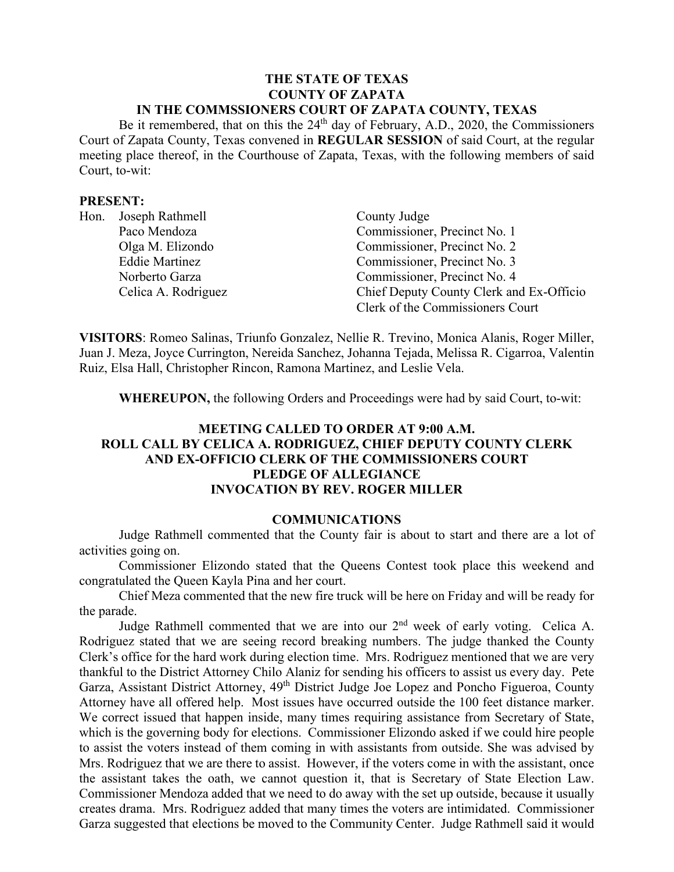#### **THE STATE OF TEXAS COUNTY OF ZAPATA IN THE COMMSSIONERS COURT OF ZAPATA COUNTY, TEXAS**

Be it remembered, that on this the  $24<sup>th</sup>$  day of February, A.D., 2020, the Commissioners Court of Zapata County, Texas convened in **REGULAR SESSION** of said Court, at the regular meeting place thereof, in the Courthouse of Zapata, Texas, with the following members of said Court, to-wit:

#### **PRESENT:**

|  | Hon. Joseph Rathmell  | County Judge                             |
|--|-----------------------|------------------------------------------|
|  | Paco Mendoza          | Commissioner, Precinct No. 1             |
|  | Olga M. Elizondo      | Commissioner, Precinct No. 2             |
|  | <b>Eddie Martinez</b> | Commissioner, Precinct No. 3             |
|  | Norberto Garza        | Commissioner, Precinct No. 4             |
|  | Celica A. Rodriguez   | Chief Deputy County Clerk and Ex-Officio |
|  |                       | Clerk of the Commissioners Court         |

**VISITORS**: Romeo Salinas, Triunfo Gonzalez, Nellie R. Trevino, Monica Alanis, Roger Miller, Juan J. Meza, Joyce Currington, Nereida Sanchez, Johanna Tejada, Melissa R. Cigarroa, Valentin Ruiz, Elsa Hall, Christopher Rincon, Ramona Martinez, and Leslie Vela.

**WHEREUPON,** the following Orders and Proceedings were had by said Court, to-wit:

## **MEETING CALLED TO ORDER AT 9:00 A.M. ROLL CALL BY CELICA A. RODRIGUEZ, CHIEF DEPUTY COUNTY CLERK AND EX-OFFICIO CLERK OF THE COMMISSIONERS COURT PLEDGE OF ALLEGIANCE INVOCATION BY REV. ROGER MILLER**

### **COMMUNICATIONS**

Judge Rathmell commented that the County fair is about to start and there are a lot of activities going on.

Commissioner Elizondo stated that the Queens Contest took place this weekend and congratulated the Queen Kayla Pina and her court.

Chief Meza commented that the new fire truck will be here on Friday and will be ready for the parade.

Judge Rathmell commented that we are into our  $2<sup>nd</sup>$  week of early voting. Celica A. Rodriguez stated that we are seeing record breaking numbers. The judge thanked the County Clerk's office for the hard work during election time. Mrs. Rodriguez mentioned that we are very thankful to the District Attorney Chilo Alaniz for sending his officers to assist us every day. Pete Garza, Assistant District Attorney, 49<sup>th</sup> District Judge Joe Lopez and Poncho Figueroa, County Attorney have all offered help. Most issues have occurred outside the 100 feet distance marker. We correct issued that happen inside, many times requiring assistance from Secretary of State, which is the governing body for elections. Commissioner Elizondo asked if we could hire people to assist the voters instead of them coming in with assistants from outside. She was advised by Mrs. Rodriguez that we are there to assist. However, if the voters come in with the assistant, once the assistant takes the oath, we cannot question it, that is Secretary of State Election Law. Commissioner Mendoza added that we need to do away with the set up outside, because it usually creates drama. Mrs. Rodriguez added that many times the voters are intimidated. Commissioner Garza suggested that elections be moved to the Community Center. Judge Rathmell said it would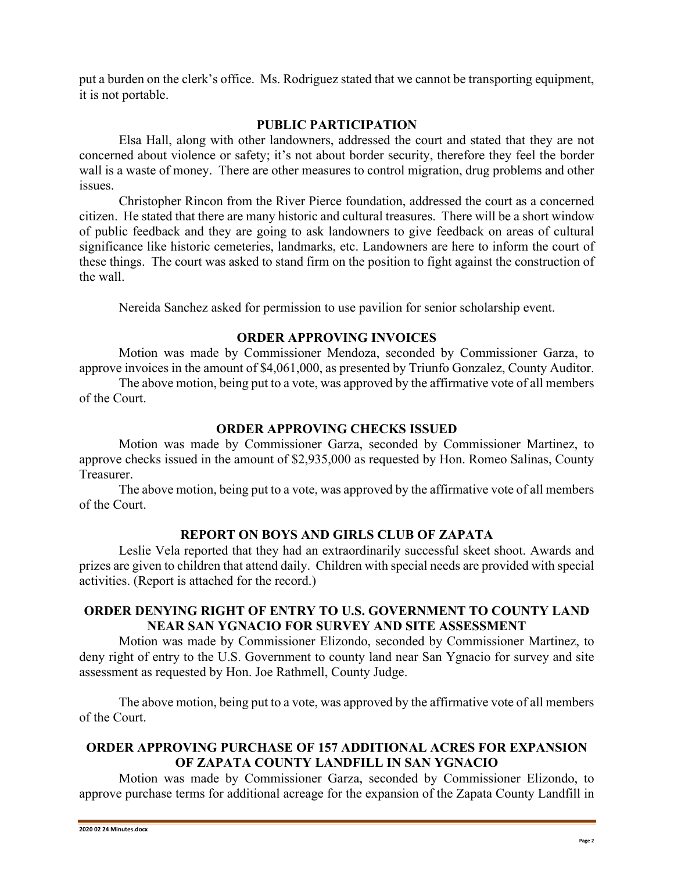put a burden on the clerk's office. Ms. Rodriguez stated that we cannot be transporting equipment, it is not portable.

## **PUBLIC PARTICIPATION**

Elsa Hall, along with other landowners, addressed the court and stated that they are not concerned about violence or safety; it's not about border security, therefore they feel the border wall is a waste of money. There are other measures to control migration, drug problems and other issues.

Christopher Rincon from the River Pierce foundation, addressed the court as a concerned citizen. He stated that there are many historic and cultural treasures. There will be a short window of public feedback and they are going to ask landowners to give feedback on areas of cultural significance like historic cemeteries, landmarks, etc. Landowners are here to inform the court of these things. The court was asked to stand firm on the position to fight against the construction of the wall.

Nereida Sanchez asked for permission to use pavilion for senior scholarship event.

## **ORDER APPROVING INVOICES**

Motion was made by Commissioner Mendoza, seconded by Commissioner Garza, to approve invoices in the amount of \$4,061,000, as presented by Triunfo Gonzalez, County Auditor.

The above motion, being put to a vote, was approved by the affirmative vote of all members of the Court.

# **ORDER APPROVING CHECKS ISSUED**

Motion was made by Commissioner Garza, seconded by Commissioner Martinez, to approve checks issued in the amount of \$2,935,000 as requested by Hon. Romeo Salinas, County Treasurer.

The above motion, being put to a vote, was approved by the affirmative vote of all members of the Court.

# **REPORT ON BOYS AND GIRLS CLUB OF ZAPATA**

Leslie Vela reported that they had an extraordinarily successful skeet shoot. Awards and prizes are given to children that attend daily. Children with special needs are provided with special activities. (Report is attached for the record.)

# **ORDER DENYING RIGHT OF ENTRY TO U.S. GOVERNMENT TO COUNTY LAND NEAR SAN YGNACIO FOR SURVEY AND SITE ASSESSMENT**

Motion was made by Commissioner Elizondo, seconded by Commissioner Martinez, to deny right of entry to the U.S. Government to county land near San Ygnacio for survey and site assessment as requested by Hon. Joe Rathmell, County Judge.

The above motion, being put to a vote, was approved by the affirmative vote of all members of the Court.

## **ORDER APPROVING PURCHASE OF 157 ADDITIONAL ACRES FOR EXPANSION OF ZAPATA COUNTY LANDFILL IN SAN YGNACIO**

Motion was made by Commissioner Garza, seconded by Commissioner Elizondo, to approve purchase terms for additional acreage for the expansion of the Zapata County Landfill in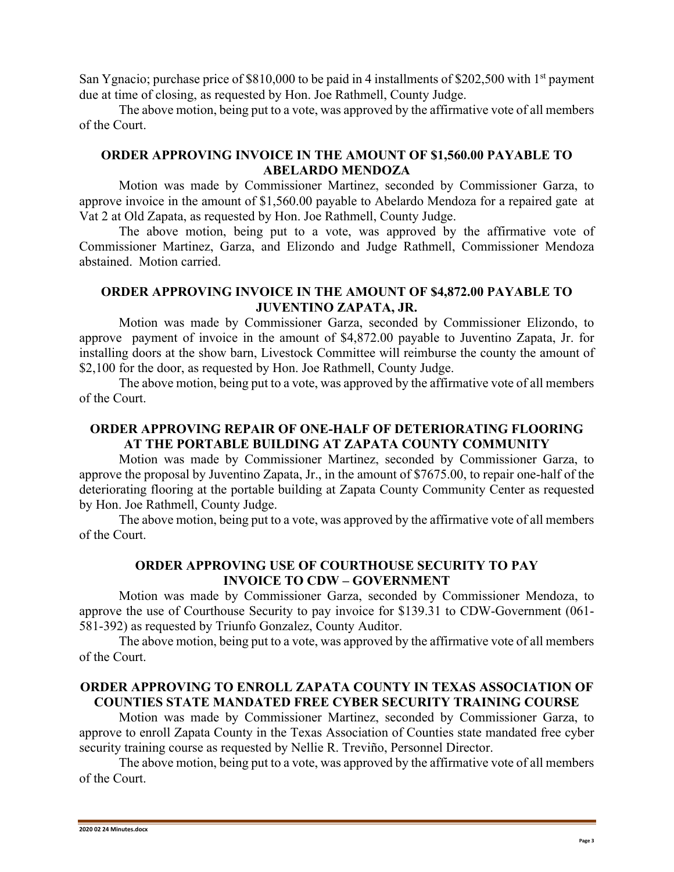San Ygnacio; purchase price of \$810,000 to be paid in 4 installments of \$202,500 with 1<sup>st</sup> payment due at time of closing, as requested by Hon. Joe Rathmell, County Judge.

The above motion, being put to a vote, was approved by the affirmative vote of all members of the Court.

## **ORDER APPROVING INVOICE IN THE AMOUNT OF \$1,560.00 PAYABLE TO ABELARDO MENDOZA**

Motion was made by Commissioner Martinez, seconded by Commissioner Garza, to approve invoice in the amount of \$1,560.00 payable to Abelardo Mendoza for a repaired gate at Vat 2 at Old Zapata, as requested by Hon. Joe Rathmell, County Judge.

The above motion, being put to a vote, was approved by the affirmative vote of Commissioner Martinez, Garza, and Elizondo and Judge Rathmell, Commissioner Mendoza abstained. Motion carried.

## **ORDER APPROVING INVOICE IN THE AMOUNT OF \$4,872.00 PAYABLE TO JUVENTINO ZAPATA, JR.**

Motion was made by Commissioner Garza, seconded by Commissioner Elizondo, to approve payment of invoice in the amount of \$4,872.00 payable to Juventino Zapata, Jr. for installing doors at the show barn, Livestock Committee will reimburse the county the amount of \$2,100 for the door, as requested by Hon. Joe Rathmell, County Judge.

The above motion, being put to a vote, was approved by the affirmative vote of all members of the Court.

## **ORDER APPROVING REPAIR OF ONE-HALF OF DETERIORATING FLOORING AT THE PORTABLE BUILDING AT ZAPATA COUNTY COMMUNITY**

Motion was made by Commissioner Martinez, seconded by Commissioner Garza, to approve the proposal by Juventino Zapata, Jr., in the amount of \$7675.00, to repair one-half of the deteriorating flooring at the portable building at Zapata County Community Center as requested by Hon. Joe Rathmell, County Judge.

The above motion, being put to a vote, was approved by the affirmative vote of all members of the Court.

## **ORDER APPROVING USE OF COURTHOUSE SECURITY TO PAY INVOICE TO CDW – GOVERNMENT**

Motion was made by Commissioner Garza, seconded by Commissioner Mendoza, to approve the use of Courthouse Security to pay invoice for \$139.31 to CDW-Government (061- 581-392) as requested by Triunfo Gonzalez, County Auditor.

The above motion, being put to a vote, was approved by the affirmative vote of all members of the Court.

# **ORDER APPROVING TO ENROLL ZAPATA COUNTY IN TEXAS ASSOCIATION OF COUNTIES STATE MANDATED FREE CYBER SECURITY TRAINING COURSE**

Motion was made by Commissioner Martinez, seconded by Commissioner Garza, to approve to enroll Zapata County in the Texas Association of Counties state mandated free cyber security training course as requested by Nellie R. Treviño, Personnel Director.

The above motion, being put to a vote, was approved by the affirmative vote of all members of the Court.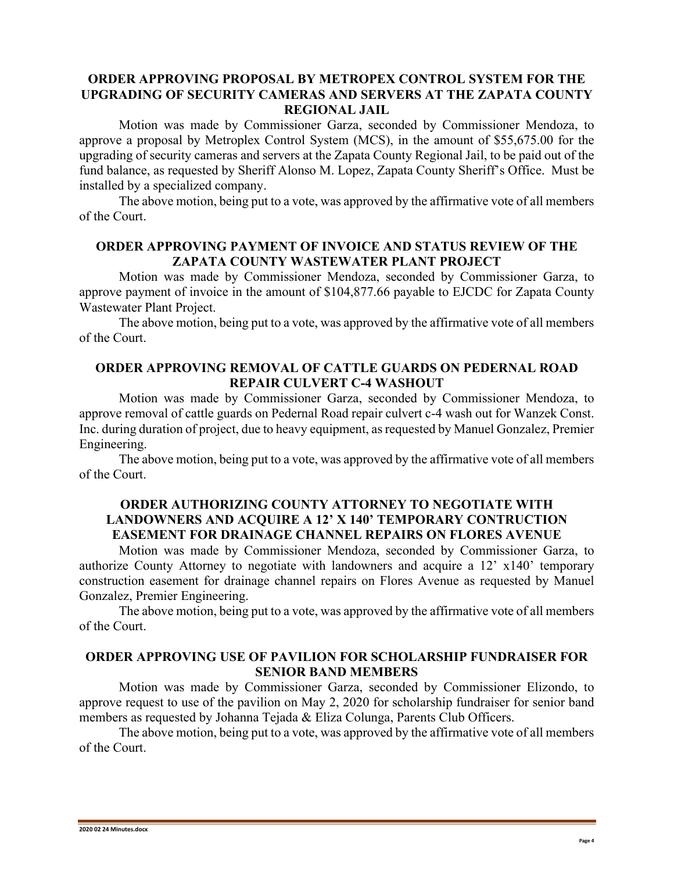## **ORDER APPROVING PROPOSAL BY METROPEX CONTROL SYSTEM FOR THE UPGRADING OF SECURITY CAMERAS AND SERVERS AT THE ZAPATA COUNTY REGIONAL JAIL**

Motion was made by Commissioner Garza, seconded by Commissioner Mendoza, to approve a proposal by Metroplex Control System (MCS), in the amount of \$55,675.00 for the upgrading of security cameras and servers at the Zapata County Regional Jail, to be paid out of the fund balance, as requested by Sheriff Alonso M. Lopez, Zapata County Sheriff's Office. Must be installed by a specialized company.

The above motion, being put to a vote, was approved by the affirmative vote of all members of the Court.

#### **ORDER APPROVING PAYMENT OF INVOICE AND STATUS REVIEW OF THE ZAPATA COUNTY WASTEWATER PLANT PROJECT**

Motion was made by Commissioner Mendoza, seconded by Commissioner Garza, to approve payment of invoice in the amount of \$104,877.66 payable to EJCDC for Zapata County Wastewater Plant Project.

The above motion, being put to a vote, was approved by the affirmative vote of all members of the Court.

### **ORDER APPROVING REMOVAL OF CATTLE GUARDS ON PEDERNAL ROAD REPAIR CULVERT C-4 WASHOUT**

Motion was made by Commissioner Garza, seconded by Commissioner Mendoza, to approve removal of cattle guards on Pedernal Road repair culvert c-4 wash out for Wanzek Const. Inc. during duration of project, due to heavy equipment, as requested by Manuel Gonzalez, Premier Engineering.

The above motion, being put to a vote, was approved by the affirmative vote of all members of the Court.

## **ORDER AUTHORIZING COUNTY ATTORNEY TO NEGOTIATE WITH LANDOWNERS AND ACQUIRE A 12' X 140' TEMPORARY CONTRUCTION EASEMENT FOR DRAINAGE CHANNEL REPAIRS ON FLORES AVENUE**

Motion was made by Commissioner Mendoza, seconded by Commissioner Garza, to authorize County Attorney to negotiate with landowners and acquire a 12' x140' temporary construction easement for drainage channel repairs on Flores Avenue as requested by Manuel Gonzalez, Premier Engineering.

The above motion, being put to a vote, was approved by the affirmative vote of all members of the Court.

## **ORDER APPROVING USE OF PAVILION FOR SCHOLARSHIP FUNDRAISER FOR SENIOR BAND MEMBERS**

Motion was made by Commissioner Garza, seconded by Commissioner Elizondo, to approve request to use of the pavilion on May 2, 2020 for scholarship fundraiser for senior band members as requested by Johanna Tejada & Eliza Colunga, Parents Club Officers.

The above motion, being put to a vote, was approved by the affirmative vote of all members of the Court.